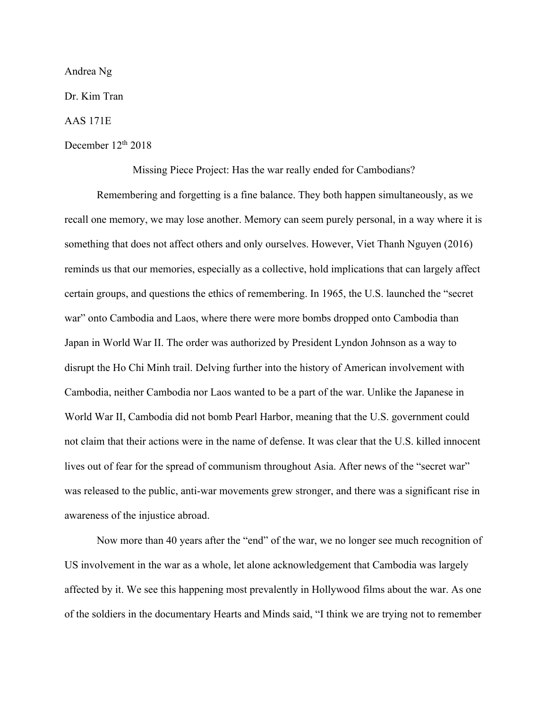Andrea Ng

Dr. Kim Tran

AAS 171E

December 12<sup>th</sup> 2018

Missing Piece Project: Has the war really ended for Cambodians?

Remembering and forgetting is a fine balance. They both happen simultaneously, as we recall one memory, we may lose another. Memory can seem purely personal, in a way where it is something that does not affect others and only ourselves. However, Viet Thanh Nguyen (2016) reminds us that our memories, especially as a collective, hold implications that can largely affect certain groups, and questions the ethics of remembering. In 1965, the U.S. launched the "secret war" onto Cambodia and Laos, where there were more bombs dropped onto Cambodia than Japan in World War II. The order was authorized by President Lyndon Johnson as a way to disrupt the Ho Chi Minh trail. Delving further into the history of American involvement with Cambodia, neither Cambodia nor Laos wanted to be a part of the war. Unlike the Japanese in World War II, Cambodia did not bomb Pearl Harbor, meaning that the U.S. government could not claim that their actions were in the name of defense. It was clear that the U.S. killed innocent lives out of fear for the spread of communism throughout Asia. After news of the "secret war" was released to the public, anti-war movements grew stronger, and there was a significant rise in awareness of the injustice abroad.

Now more than 40 years after the "end" of the war, we no longer see much recognition of US involvement in the war as a whole, let alone acknowledgement that Cambodia was largely affected by it. We see this happening most prevalently in Hollywood films about the war. As one of the soldiers in the documentary Hearts and Minds said, "I think we are trying not to remember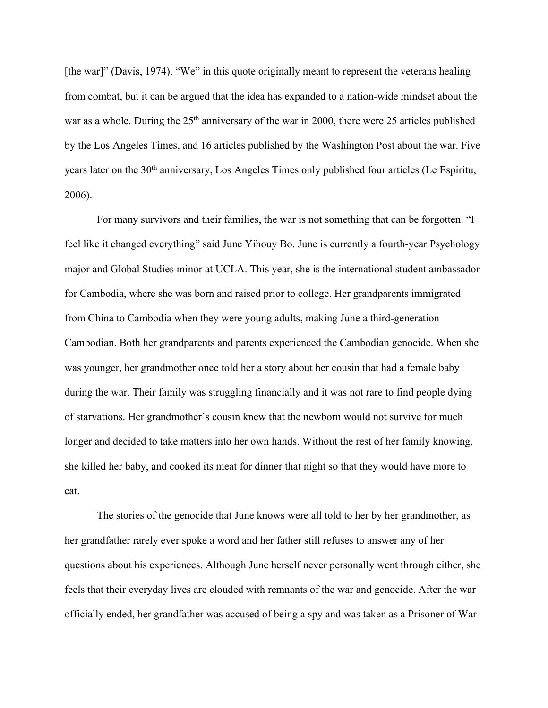[the war]" (Davis, 1974). "We" in this quote originally meant to represent the veterans healing from combat, but it can be argued that the idea has expanded to a nation-wide mindset about the war as a whole. During the  $25<sup>th</sup>$  anniversary of the war in 2000, there were 25 articles published by the Los Angeles Times, and 16 articles published by the Washington Post about the war. Five years later on the 30<sup>th</sup> anniversary, Los Angeles Times only published four articles (Le Espiritu, 2006).

For many survivors and their families, the war is not something that can be forgotten. "I feel like it changed everything" said June Yihouy Bo. June is currently a fourth-year Psychology major and Global Studies minor at UCLA. This year, she is the international student ambassador for Cambodia, where she was born and raised prior to college. Her grandparents immigrated from China to Cambodia when they were young adults, making June a third-generation Cambodian. Both her grandparents and parents experienced the Cambodian genocide. When she was younger, her grandmother once told her a story about her cousin that had a female baby during the war. Their family was struggling financially and it was not rare to find people dying of starvations. Her grandmother's cousin knew that the newborn would not survive for much longer and decided to take matters into her own hands. Without the rest of her family knowing, she killed her baby, and cooked its meat for dinner that night so that they would have more to eat.

The stories of the genocide that June knows were all told to her by her grandmother, as her grandfather rarely ever spoke a word and her father still refuses to answer any of her questions about his experiences. Although June herself never personally went through either, she feels that their everyday lives are clouded with remnants of the war and genocide. After the war officially ended, her grandfather was accused of being a spy and was taken as a Prisoner of War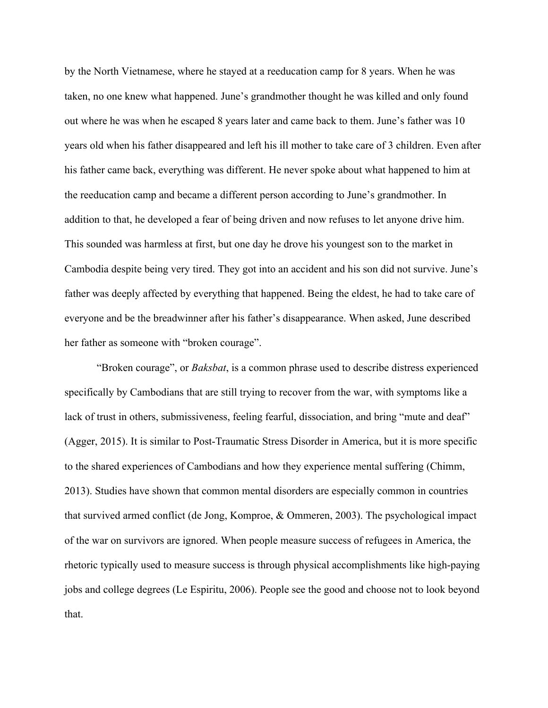by the North Vietnamese, where he stayed at a reeducation camp for 8 years. When he was taken, no one knew what happened. June's grandmother thought he was killed and only found out where he was when he escaped 8 years later and came back to them. June's father was 10 years old when his father disappeared and left his ill mother to take care of 3 children. Even after his father came back, everything was different. He never spoke about what happened to him at the reeducation camp and became a different person according to June's grandmother. In addition to that, he developed a fear of being driven and now refuses to let anyone drive him. This sounded was harmless at first, but one day he drove his youngest son to the market in Cambodia despite being very tired. They got into an accident and his son did not survive. June's father was deeply affected by everything that happened. Being the eldest, he had to take care of everyone and be the breadwinner after his father's disappearance. When asked, June described her father as someone with "broken courage".

"Broken courage", or *Baksbat*, is a common phrase used to describe distress experienced specifically by Cambodians that are still trying to recover from the war, with symptoms like a lack of trust in others, submissiveness, feeling fearful, dissociation, and bring "mute and deaf" (Agger, 2015). It is similar to Post-Traumatic Stress Disorder in America, but it is more specific to the shared experiences of Cambodians and how they experience mental suffering (Chimm, 2013). Studies have shown that common mental disorders are especially common in countries that survived armed conflict (de Jong, Komproe, & Ommeren, 2003). The psychological impact of the war on survivors are ignored. When people measure success of refugees in America, the rhetoric typically used to measure success is through physical accomplishments like high-paying jobs and college degrees (Le Espiritu, 2006). People see the good and choose not to look beyond that.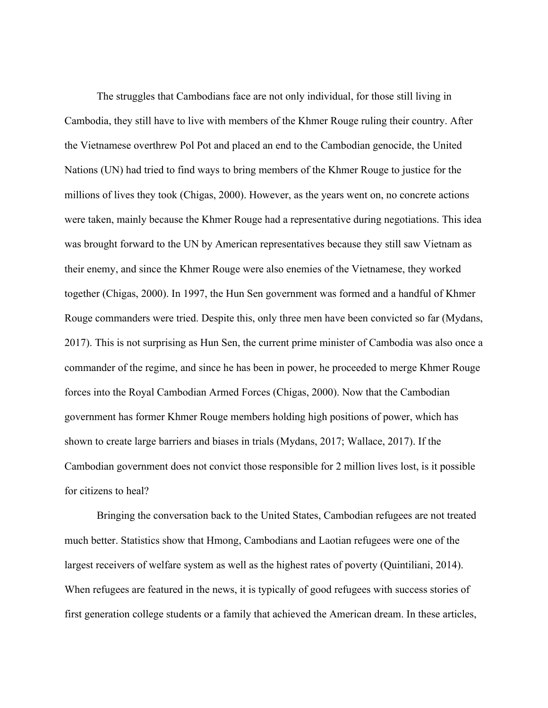The struggles that Cambodians face are not only individual, for those still living in Cambodia, they still have to live with members of the Khmer Rouge ruling their country. After the Vietnamese overthrew Pol Pot and placed an end to the Cambodian genocide, the United Nations (UN) had tried to find ways to bring members of the Khmer Rouge to justice for the millions of lives they took (Chigas, 2000). However, as the years went on, no concrete actions were taken, mainly because the Khmer Rouge had a representative during negotiations. This idea was brought forward to the UN by American representatives because they still saw Vietnam as their enemy, and since the Khmer Rouge were also enemies of the Vietnamese, they worked together (Chigas, 2000). In 1997, the Hun Sen government was formed and a handful of Khmer Rouge commanders were tried. Despite this, only three men have been convicted so far (Mydans, 2017). This is not surprising as Hun Sen, the current prime minister of Cambodia was also once a commander of the regime, and since he has been in power, he proceeded to merge Khmer Rouge forces into the Royal Cambodian Armed Forces (Chigas, 2000). Now that the Cambodian government has former Khmer Rouge members holding high positions of power, which has shown to create large barriers and biases in trials (Mydans, 2017; Wallace, 2017). If the Cambodian government does not convict those responsible for 2 million lives lost, is it possible for citizens to heal?

Bringing the conversation back to the United States, Cambodian refugees are not treated much better. Statistics show that Hmong, Cambodians and Laotian refugees were one of the largest receivers of welfare system as well as the highest rates of poverty (Quintiliani, 2014). When refugees are featured in the news, it is typically of good refugees with success stories of first generation college students or a family that achieved the American dream. In these articles,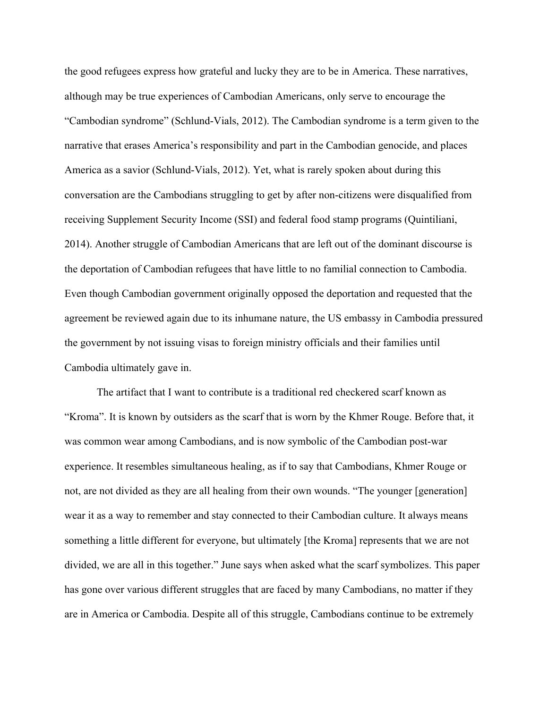the good refugees express how grateful and lucky they are to be in America. These narratives, although may be true experiences of Cambodian Americans, only serve to encourage the "Cambodian syndrome" (Schlund-Vials, 2012). The Cambodian syndrome is a term given to the narrative that erases America's responsibility and part in the Cambodian genocide, and places America as a savior (Schlund-Vials, 2012). Yet, what is rarely spoken about during this conversation are the Cambodians struggling to get by after non-citizens were disqualified from receiving Supplement Security Income (SSI) and federal food stamp programs (Quintiliani, 2014). Another struggle of Cambodian Americans that are left out of the dominant discourse is the deportation of Cambodian refugees that have little to no familial connection to Cambodia. Even though Cambodian government originally opposed the deportation and requested that the agreement be reviewed again due to its inhumane nature, the US embassy in Cambodia pressured the government by not issuing visas to foreign ministry officials and their families until Cambodia ultimately gave in.

The artifact that I want to contribute is a traditional red checkered scarf known as "Kroma". It is known by outsiders as the scarf that is worn by the Khmer Rouge. Before that, it was common wear among Cambodians, and is now symbolic of the Cambodian post-war experience. It resembles simultaneous healing, as if to say that Cambodians, Khmer Rouge or not, are not divided as they are all healing from their own wounds. "The younger [generation] wear it as a way to remember and stay connected to their Cambodian culture. It always means something a little different for everyone, but ultimately [the Kroma] represents that we are not divided, we are all in this together." June says when asked what the scarf symbolizes. This paper has gone over various different struggles that are faced by many Cambodians, no matter if they are in America or Cambodia. Despite all of this struggle, Cambodians continue to be extremely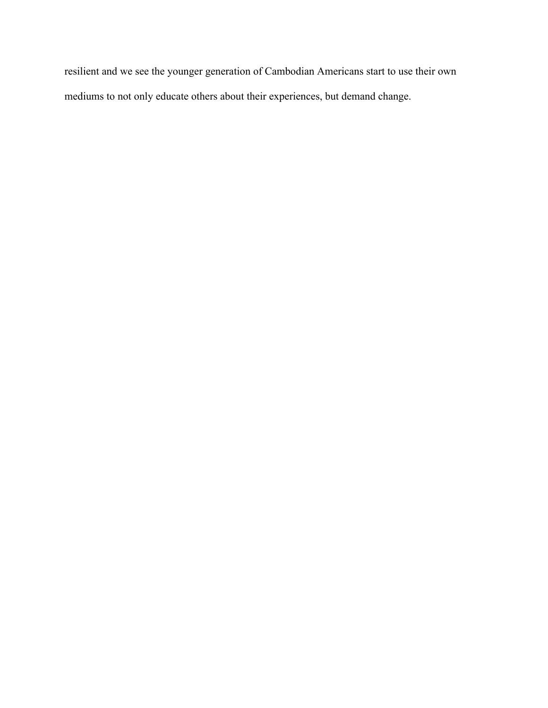resilient and we see the younger generation of Cambodian Americans start to use their own mediums to not only educate others about their experiences, but demand change.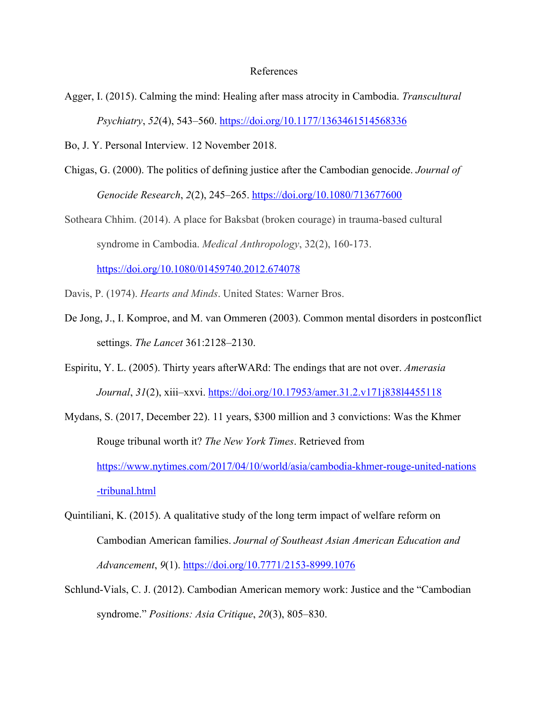## References

- Agger, I. (2015). Calming the mind: Healing after mass atrocity in Cambodia. *Transcultural Psychiatry*, *52*(4), 543–560. https://doi.org/10.1177/1363461514568336
- Bo, J. Y. Personal Interview. 12 November 2018.
- Chigas, G. (2000). The politics of defining justice after the Cambodian genocide. *Journal of Genocide Research*, *2*(2), 245–265. https://doi.org/10.1080/713677600
- Sotheara Chhim. (2014). A place for Baksbat (broken courage) in trauma-based cultural syndrome in Cambodia. *Medical Anthropology*, 32(2), 160-173. https://doi.org/10.1080/01459740.2012.674078
- Davis, P. (1974). *Hearts and Minds*. United States: Warner Bros.
- De Jong, J., I. Komproe, and M. van Ommeren (2003). Common mental disorders in postconflict settings. *The Lancet* 361:2128–2130.
- Espiritu, Y. L. (2005). Thirty years afterWARd: The endings that are not over. *Amerasia Journal*, *31*(2), xiii–xxvi. https://doi.org/10.17953/amer.31.2.v171j838l4455118
- Mydans, S. (2017, December 22). 11 years, \$300 million and 3 convictions: Was the Khmer Rouge tribunal worth it? *The New York Times*. Retrieved from https://www.nytimes.com/2017/04/10/world/asia/cambodia-khmer-rouge-united-nations -tribunal.html
- Quintiliani, K. (2015). A qualitative study of the long term impact of welfare reform on Cambodian American families. *Journal of Southeast Asian American Education and Advancement*, *9*(1). https://doi.org/10.7771/2153-8999.1076
- Schlund-Vials, C. J. (2012). Cambodian American memory work: Justice and the "Cambodian syndrome." *Positions: Asia Critique*, *20*(3), 805–830.